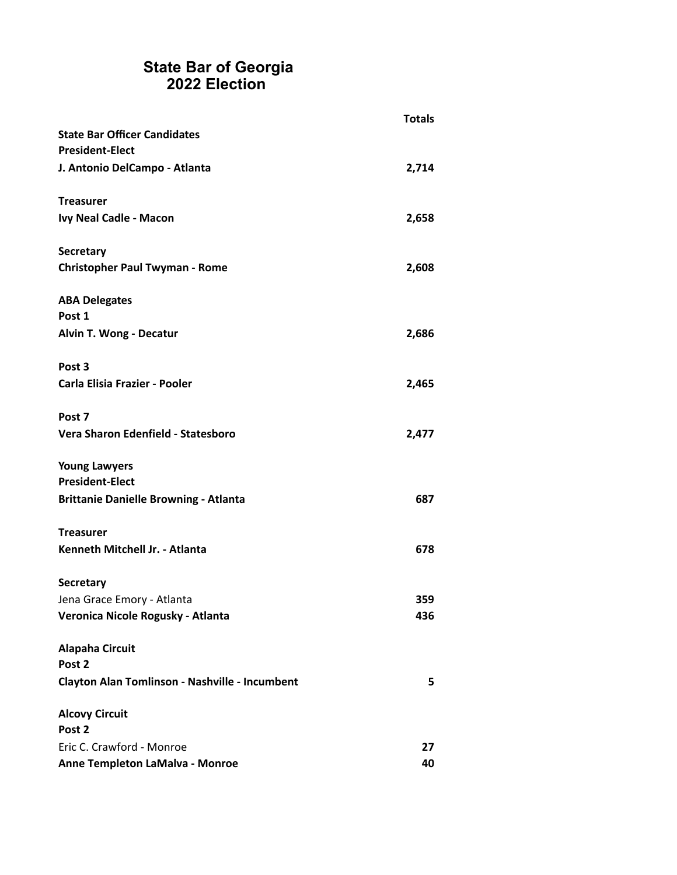|                                                | <b>Totals</b> |
|------------------------------------------------|---------------|
| <b>State Bar Officer Candidates</b>            |               |
| <b>President-Elect</b>                         |               |
| J. Antonio DelCampo - Atlanta                  | 2,714         |
| <b>Treasurer</b>                               |               |
| Ivy Neal Cadle - Macon                         | 2,658         |
| <b>Secretary</b>                               |               |
| <b>Christopher Paul Twyman - Rome</b>          | 2,608         |
| <b>ABA Delegates</b>                           |               |
| Post 1                                         |               |
| Alvin T. Wong - Decatur                        | 2,686         |
| Post <sub>3</sub>                              |               |
| <b>Carla Elisia Frazier - Pooler</b>           | 2,465         |
| Post 7                                         |               |
| Vera Sharon Edenfield - Statesboro             | 2,477         |
| <b>Young Lawyers</b>                           |               |
| <b>President-Elect</b>                         |               |
| <b>Brittanie Danielle Browning - Atlanta</b>   | 687           |
| <b>Treasurer</b>                               |               |
| Kenneth Mitchell Jr. - Atlanta                 | 678           |
| <b>Secretary</b>                               |               |
| Jena Grace Emory - Atlanta                     | 359           |
| Veronica Nicole Rogusky - Atlanta              | 436           |
| <b>Alapaha Circuit</b>                         |               |
| Post 2                                         |               |
| Clayton Alan Tomlinson - Nashville - Incumbent | 5             |
| <b>Alcovy Circuit</b>                          |               |
| Post 2                                         |               |
| Eric C. Crawford - Monroe                      | 27            |
| Anne Templeton LaMalva - Monroe                | 40            |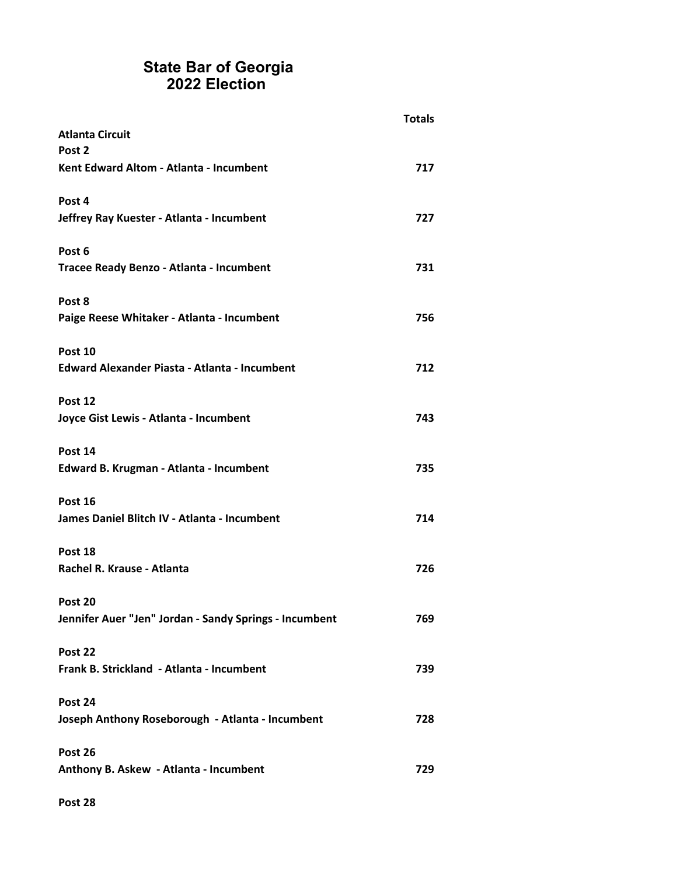| <b>Atlanta Circuit</b>                                 | <b>Totals</b> |
|--------------------------------------------------------|---------------|
| Post 2                                                 |               |
| Kent Edward Altom - Atlanta - Incumbent                | 717           |
| Post 4                                                 |               |
| Jeffrey Ray Kuester - Atlanta - Incumbent              | 727           |
| Post 6                                                 |               |
| Tracee Ready Benzo - Atlanta - Incumbent               | 731           |
| Post 8                                                 |               |
| Paige Reese Whitaker - Atlanta - Incumbent             | 756           |
| Post 10                                                |               |
| <b>Edward Alexander Piasta - Atlanta - Incumbent</b>   | 712           |
| Post 12                                                |               |
| Joyce Gist Lewis - Atlanta - Incumbent                 | 743           |
| Post 14                                                |               |
| Edward B. Krugman - Atlanta - Incumbent                | 735           |
| Post 16                                                |               |
| James Daniel Blitch IV - Atlanta - Incumbent           | 714           |
| Post 18                                                |               |
| Rachel R. Krause - Atlanta                             | 726           |
| Post 20                                                |               |
| Jennifer Auer "Jen" Jordan - Sandy Springs - Incumbent | 769           |
| Post 22                                                |               |
| Frank B. Strickland - Atlanta - Incumbent              | 739           |
| Post 24                                                |               |
| Joseph Anthony Roseborough - Atlanta - Incumbent       | 728           |
| Post 26                                                |               |
| Anthony B. Askew - Atlanta - Incumbent                 | 729           |

**Post 28**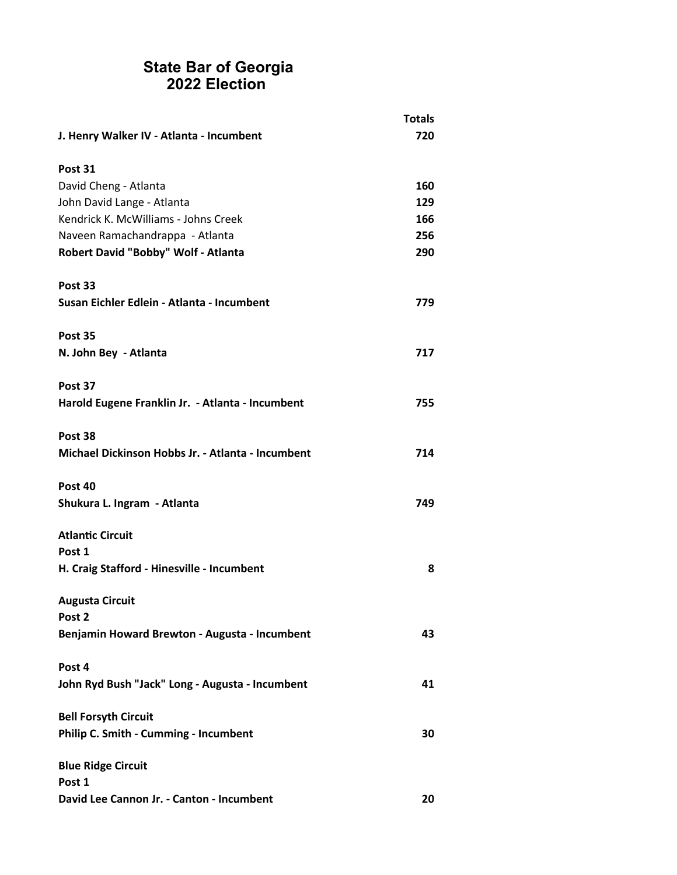|                                                   | <b>Totals</b> |
|---------------------------------------------------|---------------|
| J. Henry Walker IV - Atlanta - Incumbent          | 720           |
| Post 31                                           |               |
| David Cheng - Atlanta                             | 160           |
| John David Lange - Atlanta                        | 129           |
| Kendrick K. McWilliams - Johns Creek              | 166           |
| Naveen Ramachandrappa - Atlanta                   | 256           |
| Robert David "Bobby" Wolf - Atlanta               | 290           |
| Post 33                                           |               |
| Susan Eichler Edlein - Atlanta - Incumbent        | 779           |
| Post 35                                           |               |
| N. John Bey - Atlanta                             | 717           |
| Post 37                                           |               |
| Harold Eugene Franklin Jr. - Atlanta - Incumbent  | 755           |
| Post 38                                           |               |
| Michael Dickinson Hobbs Jr. - Atlanta - Incumbent | 714           |
| Post 40                                           |               |
| Shukura L. Ingram - Atlanta                       | 749           |
| <b>Atlantic Circuit</b>                           |               |
| Post 1                                            |               |
| H. Craig Stafford - Hinesville - Incumbent        | 8             |
| <b>Augusta Circuit</b>                            |               |
| Post 2                                            |               |
| Benjamin Howard Brewton - Augusta - Incumbent     | 43            |
| Post 4                                            |               |
| John Ryd Bush "Jack" Long - Augusta - Incumbent   | 41            |
| <b>Bell Forsyth Circuit</b>                       |               |
| Philip C. Smith - Cumming - Incumbent             | 30            |
| <b>Blue Ridge Circuit</b>                         |               |
| Post 1                                            |               |
| David Lee Cannon Jr. - Canton - Incumbent         | 20            |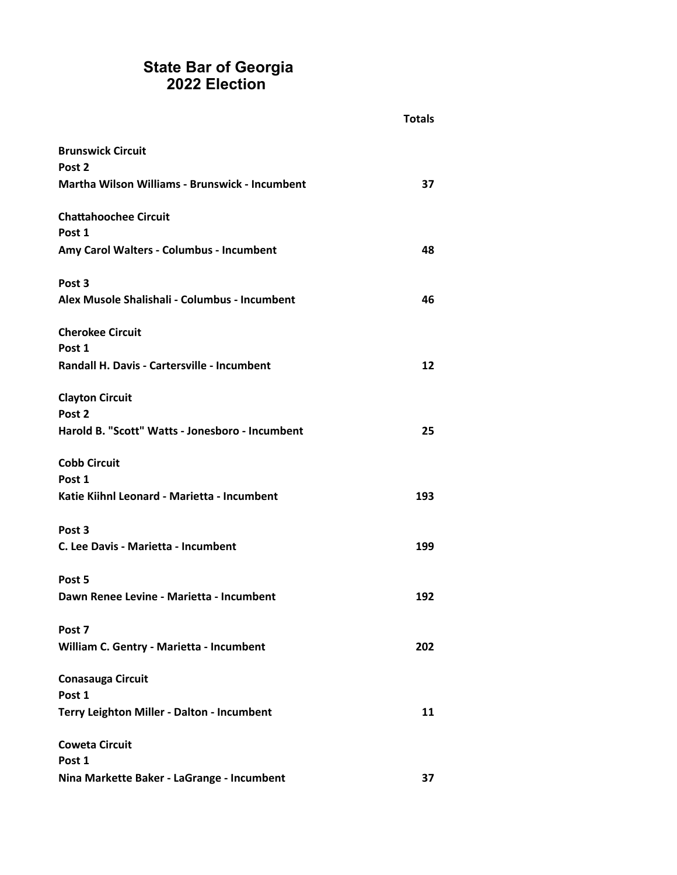|                                                 | <b>Totals</b> |
|-------------------------------------------------|---------------|
| <b>Brunswick Circuit</b>                        |               |
| Post <sub>2</sub>                               |               |
| Martha Wilson Williams - Brunswick - Incumbent  | 37            |
| <b>Chattahoochee Circuit</b>                    |               |
| Post 1                                          |               |
| Amy Carol Walters - Columbus - Incumbent        | 48            |
| Post 3                                          |               |
| Alex Musole Shalishali - Columbus - Incumbent   | 46            |
| <b>Cherokee Circuit</b>                         |               |
| Post 1                                          |               |
| Randall H. Davis - Cartersville - Incumbent     | 12            |
| <b>Clayton Circuit</b>                          |               |
| Post 2                                          |               |
| Harold B. "Scott" Watts - Jonesboro - Incumbent | 25            |
| <b>Cobb Circuit</b>                             |               |
| Post 1                                          |               |
| Katie Kiihnl Leonard - Marietta - Incumbent     | 193           |
| Post 3                                          |               |
| C. Lee Davis - Marietta - Incumbent             | 199           |
| Post 5                                          |               |
| Dawn Renee Levine - Marietta - Incumbent        | 192           |
| Post 7                                          |               |
| William C. Gentry - Marietta - Incumbent        | 202           |
| <b>Conasauga Circuit</b>                        |               |
| Post 1                                          |               |
| Terry Leighton Miller - Dalton - Incumbent      | 11            |
| <b>Coweta Circuit</b>                           |               |
| Post 1                                          |               |
| Nina Markette Baker - LaGrange - Incumbent      | 37            |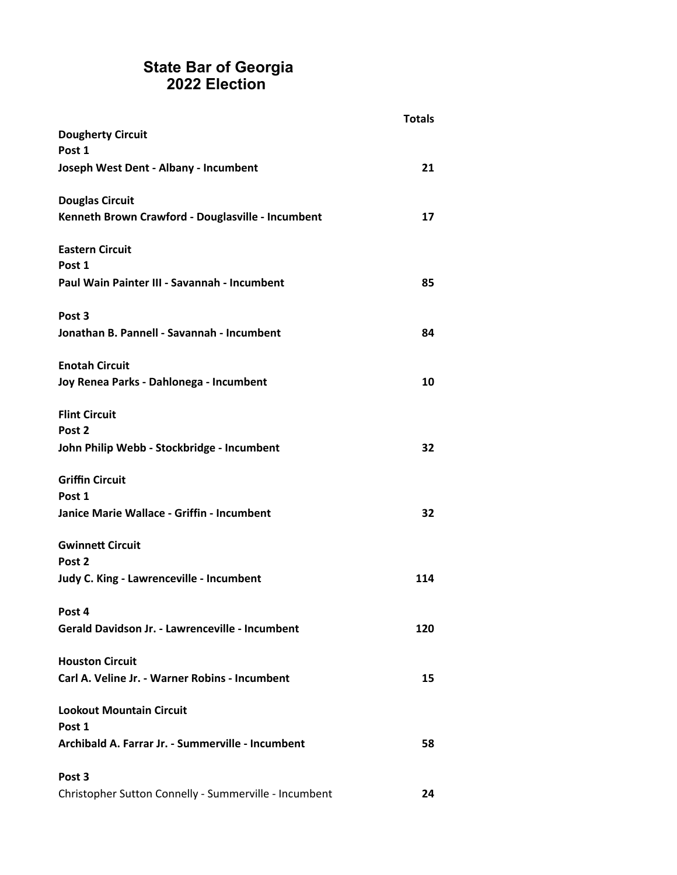| <b>Dougherty Circuit</b>                              | <b>Totals</b> |
|-------------------------------------------------------|---------------|
| Post 1                                                |               |
| Joseph West Dent - Albany - Incumbent                 | 21            |
| <b>Douglas Circuit</b>                                |               |
| Kenneth Brown Crawford - Douglasville - Incumbent     | 17            |
| <b>Eastern Circuit</b>                                |               |
| Post 1                                                |               |
| Paul Wain Painter III - Savannah - Incumbent          | 85            |
| Post <sub>3</sub>                                     |               |
| Jonathan B. Pannell - Savannah - Incumbent            | 84            |
| <b>Enotah Circuit</b>                                 |               |
| Joy Renea Parks - Dahlonega - Incumbent               | 10            |
| <b>Flint Circuit</b>                                  |               |
| Post 2                                                |               |
| John Philip Webb - Stockbridge - Incumbent            | 32            |
| <b>Griffin Circuit</b>                                |               |
| Post 1                                                |               |
| Janice Marie Wallace - Griffin - Incumbent            | 32            |
| <b>Gwinnett Circuit</b>                               |               |
| Post 2                                                |               |
| Judy C. King - Lawrenceville - Incumbent              | 114           |
| Post 4                                                |               |
| Gerald Davidson Jr. - Lawrenceville - Incumbent       | 120           |
| <b>Houston Circuit</b>                                |               |
| Carl A. Veline Jr. - Warner Robins - Incumbent        | 15            |
| <b>Lookout Mountain Circuit</b>                       |               |
| Post 1                                                |               |
| Archibald A. Farrar Jr. - Summerville - Incumbent     | 58            |
| Post <sub>3</sub>                                     |               |
| Christopher Sutton Connelly - Summerville - Incumbent | 24            |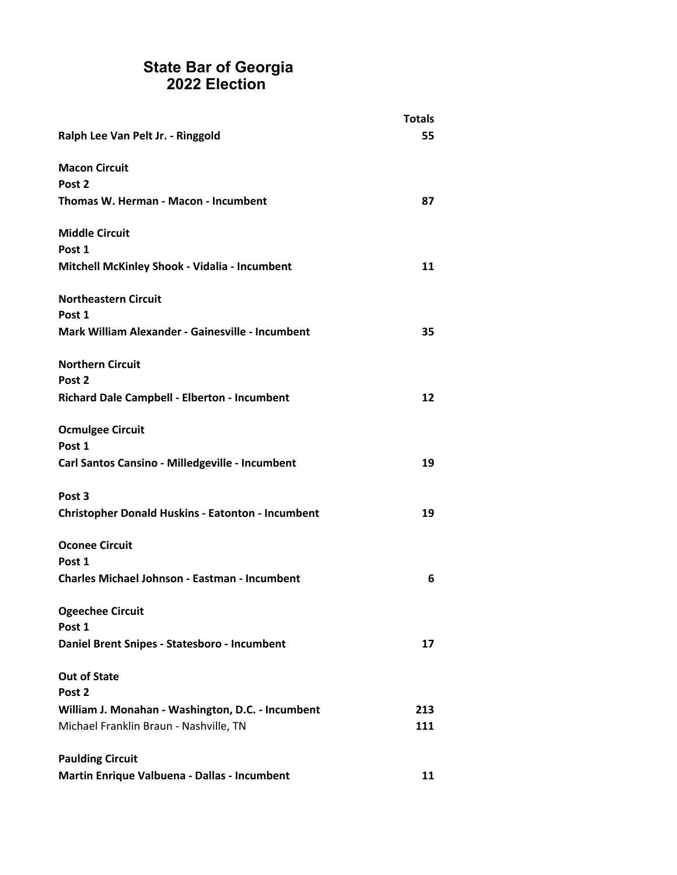|                                                          | <b>Totals</b> |
|----------------------------------------------------------|---------------|
| Ralph Lee Van Pelt Jr. - Ringgold                        | 55            |
| <b>Macon Circuit</b>                                     |               |
| Post <sub>2</sub>                                        |               |
| Thomas W. Herman - Macon - Incumbent                     | 87            |
| <b>Middle Circuit</b>                                    |               |
| Post 1                                                   |               |
| Mitchell McKinley Shook - Vidalia - Incumbent            | 11            |
| <b>Northeastern Circuit</b>                              |               |
| Post 1                                                   |               |
| Mark William Alexander - Gainesville - Incumbent         | 35            |
| <b>Northern Circuit</b>                                  |               |
| Post <sub>2</sub>                                        |               |
| Richard Dale Campbell - Elberton - Incumbent             | 12            |
| <b>Ocmulgee Circuit</b>                                  |               |
| Post 1                                                   |               |
| Carl Santos Cansino - Milledgeville - Incumbent          | 19            |
| Post <sub>3</sub>                                        |               |
| <b>Christopher Donald Huskins - Eatonton - Incumbent</b> | 19            |
| <b>Oconee Circuit</b>                                    |               |
| Post 1                                                   |               |
| <b>Charles Michael Johnson - Eastman - Incumbent</b>     | 6             |
| <b>Ogeechee Circuit</b>                                  |               |
| Post 1                                                   |               |
| Daniel Brent Snipes - Statesboro - Incumbent             | 17            |
| <b>Out of State</b>                                      |               |
| Post <sub>2</sub>                                        |               |
| William J. Monahan - Washington, D.C. - Incumbent        | 213           |
| Michael Franklin Braun - Nashville, TN                   | 111           |
| <b>Paulding Circuit</b>                                  |               |
| Martin Enrique Valbuena - Dallas - Incumbent             | 11            |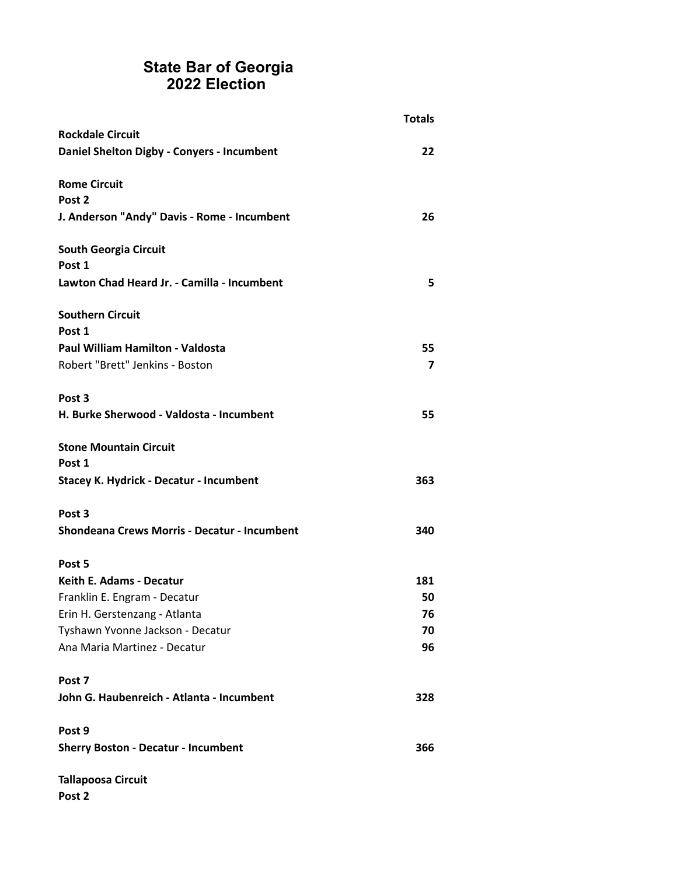|                                                     | <b>Totals</b> |
|-----------------------------------------------------|---------------|
| <b>Rockdale Circuit</b>                             |               |
| Daniel Shelton Digby - Conyers - Incumbent          | 22            |
|                                                     |               |
| <b>Rome Circuit</b>                                 |               |
| Post 2                                              |               |
| J. Anderson "Andy" Davis - Rome - Incumbent         | 26            |
| <b>South Georgia Circuit</b>                        |               |
| Post 1                                              |               |
| Lawton Chad Heard Jr. - Camilla - Incumbent         | 5             |
| <b>Southern Circuit</b>                             |               |
| Post 1                                              |               |
| <b>Paul William Hamilton - Valdosta</b>             | 55            |
| Robert "Brett" Jenkins - Boston                     | 7             |
|                                                     |               |
| Post <sub>3</sub>                                   |               |
| H. Burke Sherwood - Valdosta - Incumbent            | 55            |
| <b>Stone Mountain Circuit</b>                       |               |
| Post 1                                              |               |
| Stacey K. Hydrick - Decatur - Incumbent             | 363           |
| Post <sub>3</sub>                                   |               |
| <b>Shondeana Crews Morris - Decatur - Incumbent</b> | 340           |
|                                                     |               |
| Post 5                                              |               |
| <b>Keith E. Adams - Decatur</b>                     | 181           |
| Franklin E. Engram - Decatur                        | 50            |
| Erin H. Gerstenzang - Atlanta                       | 76            |
| Tyshawn Yvonne Jackson - Decatur                    | 70            |
| Ana Maria Martinez - Decatur                        | 96            |
| Post 7                                              |               |
| John G. Haubenreich - Atlanta - Incumbent           | 328           |
|                                                     |               |
| Post 9                                              |               |
| <b>Sherry Boston - Decatur - Incumbent</b>          | 366           |
| <b>Tallapoosa Circuit</b>                           |               |

**Post 2**